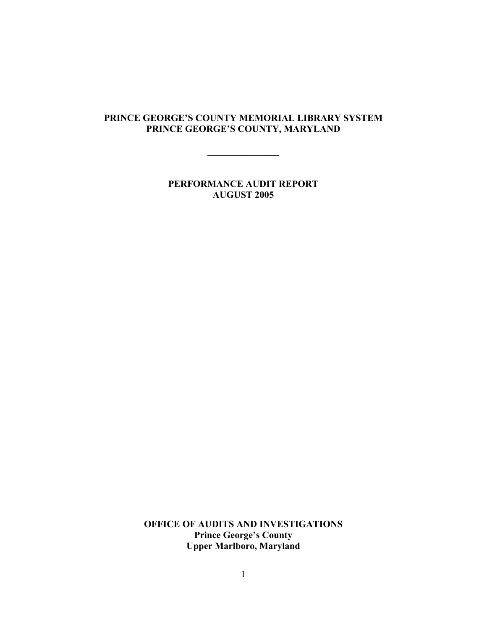# **PRINCE GEORGE'S COUNTY MEMORIAL LIBRARY SYSTEM PRINCE GEORGE'S COUNTY, MARYLAND**

**\_\_\_\_\_\_\_\_\_\_\_\_\_\_\_** 

**PERFORMANCE AUDIT REPORT AUGUST 2005** 

**OFFICE OF AUDITS AND INVESTIGATIONS Prince George's County Upper Marlboro, Maryland**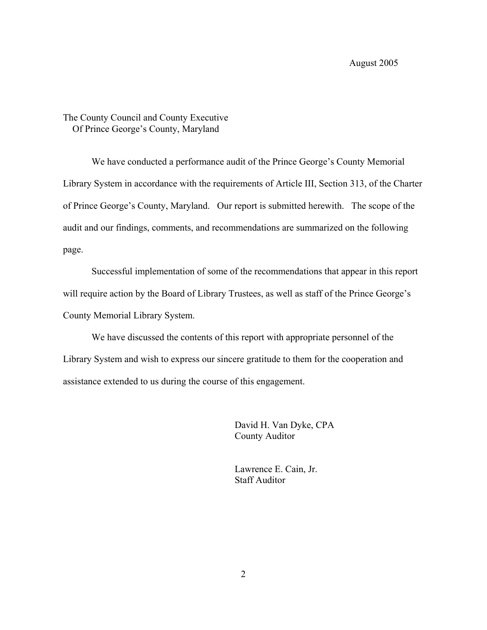# The County Council and County Executive Of Prince George's County, Maryland

 We have conducted a performance audit of the Prince George's County Memorial Library System in accordance with the requirements of Article III, Section 313, of the Charter of Prince George's County, Maryland. Our report is submitted herewith. The scope of the audit and our findings, comments, and recommendations are summarized on the following page.

 Successful implementation of some of the recommendations that appear in this report will require action by the Board of Library Trustees, as well as staff of the Prince George's County Memorial Library System.

 We have discussed the contents of this report with appropriate personnel of the Library System and wish to express our sincere gratitude to them for the cooperation and assistance extended to us during the course of this engagement.

> David H. Van Dyke, CPA County Auditor

 Lawrence E. Cain, Jr. Staff Auditor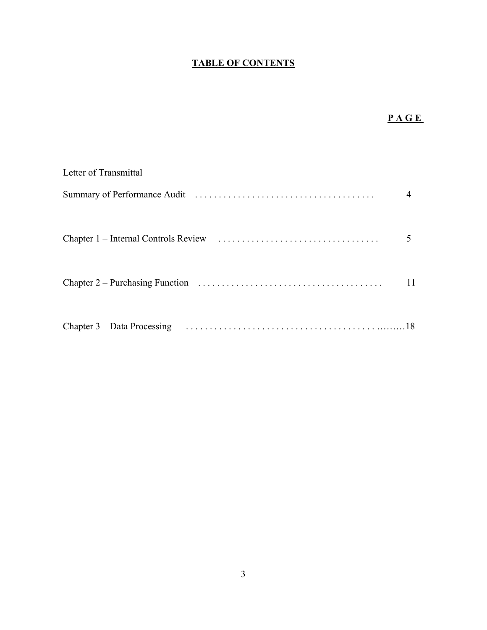# **TABLE OF CONTENTS**

# **PAGE**

| Letter of Transmittal |  |
|-----------------------|--|
|                       |  |
|                       |  |
|                       |  |
|                       |  |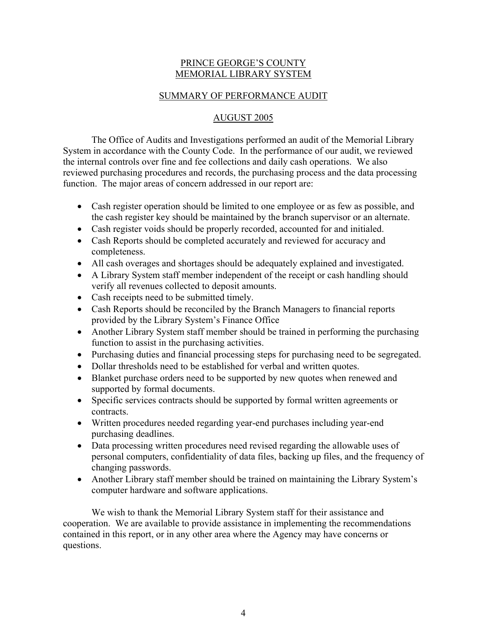### PRINCE GEORGE'S COUNTY MEMORIAL LIBRARY SYSTEM

### SUMMARY OF PERFORMANCE AUDIT

## AUGUST 2005

 The Office of Audits and Investigations performed an audit of the Memorial Library System in accordance with the County Code. In the performance of our audit, we reviewed the internal controls over fine and fee collections and daily cash operations. We also reviewed purchasing procedures and records, the purchasing process and the data processing function. The major areas of concern addressed in our report are:

- Cash register operation should be limited to one employee or as few as possible, and the cash register key should be maintained by the branch supervisor or an alternate.
- Cash register voids should be properly recorded, accounted for and initialed.
- Cash Reports should be completed accurately and reviewed for accuracy and completeness.
- All cash overages and shortages should be adequately explained and investigated.
- A Library System staff member independent of the receipt or cash handling should verify all revenues collected to deposit amounts.
- Cash receipts need to be submitted timely.
- Cash Reports should be reconciled by the Branch Managers to financial reports provided by the Library System's Finance Office
- Another Library System staff member should be trained in performing the purchasing function to assist in the purchasing activities.
- Purchasing duties and financial processing steps for purchasing need to be segregated.
- Dollar thresholds need to be established for verbal and written quotes.
- Blanket purchase orders need to be supported by new quotes when renewed and supported by formal documents.
- Specific services contracts should be supported by formal written agreements or contracts.
- Written procedures needed regarding year-end purchases including year-end purchasing deadlines.
- Data processing written procedures need revised regarding the allowable uses of personal computers, confidentiality of data files, backing up files, and the frequency of changing passwords.
- Another Library staff member should be trained on maintaining the Library System's computer hardware and software applications.

 We wish to thank the Memorial Library System staff for their assistance and cooperation. We are available to provide assistance in implementing the recommendations contained in this report, or in any other area where the Agency may have concerns or questions.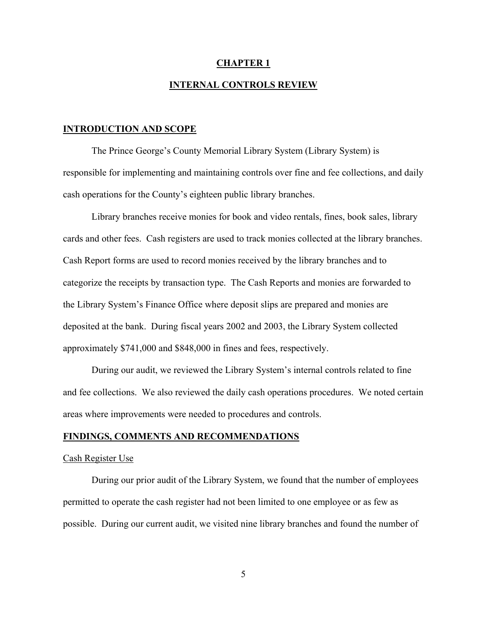#### **CHAPTER 1**

#### **INTERNAL CONTROLS REVIEW**

#### **INTRODUCTION AND SCOPE**

 The Prince George's County Memorial Library System (Library System) is responsible for implementing and maintaining controls over fine and fee collections, and daily cash operations for the County's eighteen public library branches.

 Library branches receive monies for book and video rentals, fines, book sales, library cards and other fees. Cash registers are used to track monies collected at the library branches. Cash Report forms are used to record monies received by the library branches and to categorize the receipts by transaction type. The Cash Reports and monies are forwarded to the Library System's Finance Office where deposit slips are prepared and monies are deposited at the bank. During fiscal years 2002 and 2003, the Library System collected approximately \$741,000 and \$848,000 in fines and fees, respectively.

 During our audit, we reviewed the Library System's internal controls related to fine and fee collections. We also reviewed the daily cash operations procedures. We noted certain areas where improvements were needed to procedures and controls.

#### **FINDINGS, COMMENTS AND RECOMMENDATIONS**

#### Cash Register Use

 During our prior audit of the Library System, we found that the number of employees permitted to operate the cash register had not been limited to one employee or as few as possible. During our current audit, we visited nine library branches and found the number of

5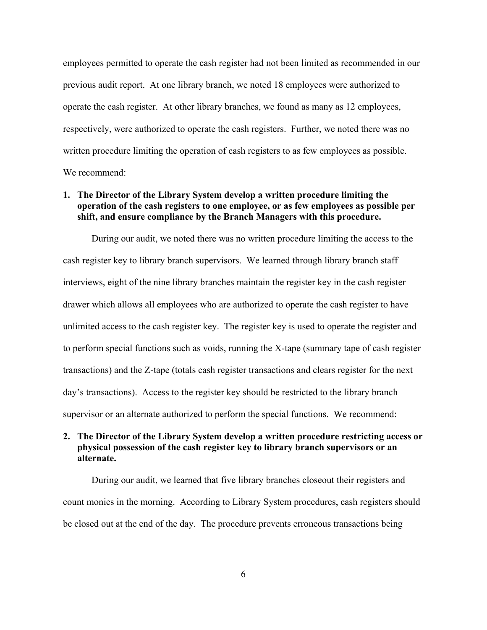employees permitted to operate the cash register had not been limited as recommended in our previous audit report. At one library branch, we noted 18 employees were authorized to operate the cash register. At other library branches, we found as many as 12 employees, respectively, were authorized to operate the cash registers. Further, we noted there was no written procedure limiting the operation of cash registers to as few employees as possible. We recommend:

### **1. The Director of the Library System develop a written procedure limiting the operation of the cash registers to one employee, or as few employees as possible per shift, and ensure compliance by the Branch Managers with this procedure.**

During our audit, we noted there was no written procedure limiting the access to the cash register key to library branch supervisors. We learned through library branch staff interviews, eight of the nine library branches maintain the register key in the cash register drawer which allows all employees who are authorized to operate the cash register to have unlimited access to the cash register key. The register key is used to operate the register and to perform special functions such as voids, running the X-tape (summary tape of cash register transactions) and the Z-tape (totals cash register transactions and clears register for the next day's transactions). Access to the register key should be restricted to the library branch supervisor or an alternate authorized to perform the special functions. We recommend:

# **2. The Director of the Library System develop a written procedure restricting access or physical possession of the cash register key to library branch supervisors or an alternate.**

During our audit, we learned that five library branches closeout their registers and count monies in the morning. According to Library System procedures, cash registers should be closed out at the end of the day. The procedure prevents erroneous transactions being

6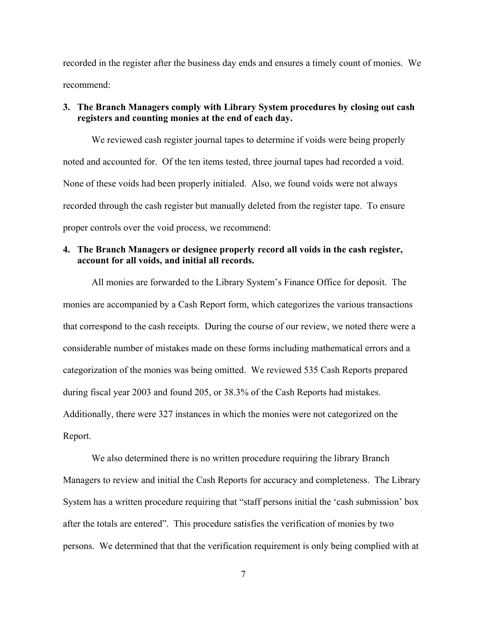recorded in the register after the business day ends and ensures a timely count of monies. We recommend:

# **3. The Branch Managers comply with Library System procedures by closing out cash registers and counting monies at the end of each day.**

We reviewed cash register journal tapes to determine if voids were being properly noted and accounted for. Of the ten items tested, three journal tapes had recorded a void. None of these voids had been properly initialed. Also, we found voids were not always recorded through the cash register but manually deleted from the register tape. To ensure proper controls over the void process, we recommend:

# **4. The Branch Managers or designee properly record all voids in the cash register, account for all voids, and initial all records.**

All monies are forwarded to the Library System's Finance Office for deposit. The monies are accompanied by a Cash Report form, which categorizes the various transactions that correspond to the cash receipts. During the course of our review, we noted there were a considerable number of mistakes made on these forms including mathematical errors and a categorization of the monies was being omitted. We reviewed 535 Cash Reports prepared during fiscal year 2003 and found 205, or 38.3% of the Cash Reports had mistakes. Additionally, there were 327 instances in which the monies were not categorized on the Report.

We also determined there is no written procedure requiring the library Branch Managers to review and initial the Cash Reports for accuracy and completeness. The Library System has a written procedure requiring that "staff persons initial the 'cash submission' box after the totals are entered". This procedure satisfies the verification of monies by two persons. We determined that that the verification requirement is only being complied with at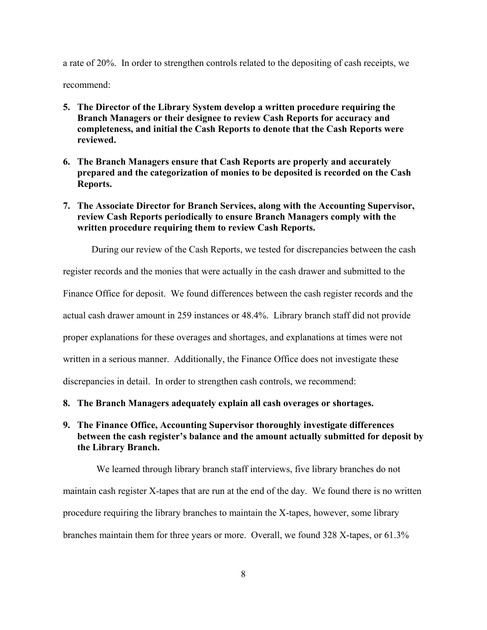a rate of 20%. In order to strengthen controls related to the depositing of cash receipts, we

recommend:

- **5. The Director of the Library System develop a written procedure requiring the Branch Managers or their designee to review Cash Reports for accuracy and completeness, and initial the Cash Reports to denote that the Cash Reports were reviewed.**
- **6. The Branch Managers ensure that Cash Reports are properly and accurately prepared and the categorization of monies to be deposited is recorded on the Cash Reports.**
- **7. The Associate Director for Branch Services, along with the Accounting Supervisor, review Cash Reports periodically to ensure Branch Managers comply with the written procedure requiring them to review Cash Reports.**

During our review of the Cash Reports, we tested for discrepancies between the cash

register records and the monies that were actually in the cash drawer and submitted to the

Finance Office for deposit. We found differences between the cash register records and the

actual cash drawer amount in 259 instances or 48.4%. Library branch staff did not provide

proper explanations for these overages and shortages, and explanations at times were not

written in a serious manner. Additionally, the Finance Office does not investigate these

discrepancies in detail. In order to strengthen cash controls, we recommend:

**8. The Branch Managers adequately explain all cash overages or shortages.** 

# **9. The Finance Office, Accounting Supervisor thoroughly investigate differences between the cash register's balance and the amount actually submitted for deposit by the Library Branch.**

 We learned through library branch staff interviews, five library branches do not maintain cash register X-tapes that are run at the end of the day. We found there is no written procedure requiring the library branches to maintain the X-tapes, however, some library branches maintain them for three years or more. Overall, we found 328 X-tapes, or 61.3%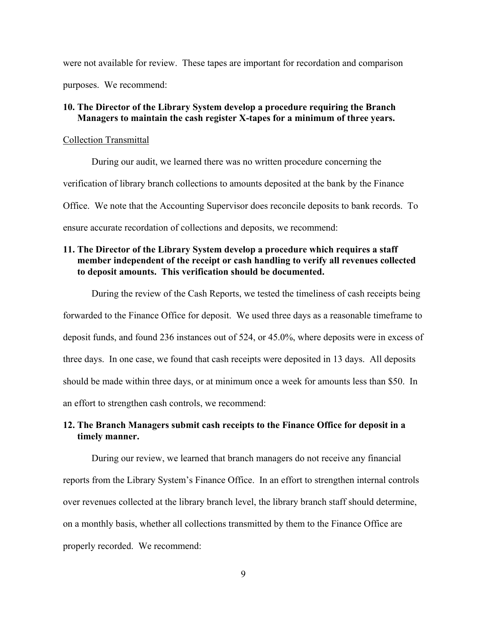were not available for review. These tapes are important for recordation and comparison purposes. We recommend:

### **10. The Director of the Library System develop a procedure requiring the Branch Managers to maintain the cash register X-tapes for a minimum of three years.**

#### Collection Transmittal

 During our audit, we learned there was no written procedure concerning the verification of library branch collections to amounts deposited at the bank by the Finance Office. We note that the Accounting Supervisor does reconcile deposits to bank records. To ensure accurate recordation of collections and deposits, we recommend:

### **11. The Director of the Library System develop a procedure which requires a staff member independent of the receipt or cash handling to verify all revenues collected to deposit amounts. This verification should be documented.**

During the review of the Cash Reports, we tested the timeliness of cash receipts being forwarded to the Finance Office for deposit. We used three days as a reasonable timeframe to deposit funds, and found 236 instances out of 524, or 45.0%, where deposits were in excess of three days. In one case, we found that cash receipts were deposited in 13 days. All deposits should be made within three days, or at minimum once a week for amounts less than \$50. In an effort to strengthen cash controls, we recommend:

### **12. The Branch Managers submit cash receipts to the Finance Office for deposit in a timely manner.**

During our review, we learned that branch managers do not receive any financial reports from the Library System's Finance Office. In an effort to strengthen internal controls over revenues collected at the library branch level, the library branch staff should determine, on a monthly basis, whether all collections transmitted by them to the Finance Office are properly recorded. We recommend: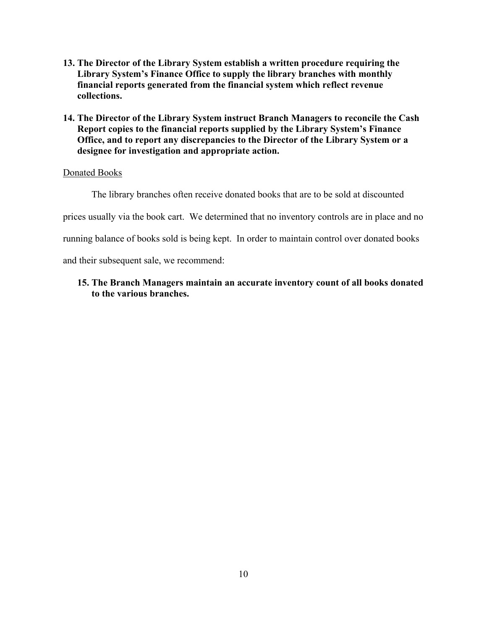- **13. The Director of the Library System establish a written procedure requiring the Library System's Finance Office to supply the library branches with monthly financial reports generated from the financial system which reflect revenue collections.**
- **14. The Director of the Library System instruct Branch Managers to reconcile the Cash Report copies to the financial reports supplied by the Library System's Finance Office, and to report any discrepancies to the Director of the Library System or a designee for investigation and appropriate action.**

### Donated Books

The library branches often receive donated books that are to be sold at discounted prices usually via the book cart. We determined that no inventory controls are in place and no running balance of books sold is being kept. In order to maintain control over donated books and their subsequent sale, we recommend:

# **15. The Branch Managers maintain an accurate inventory count of all books donated to the various branches.**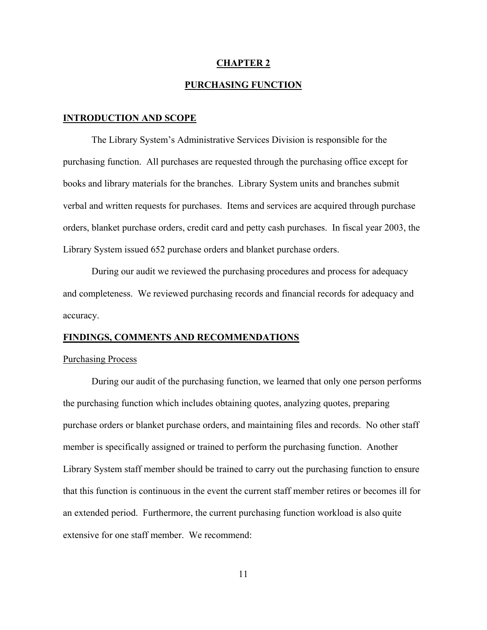#### **CHAPTER 2**

### **PURCHASING FUNCTION**

#### **INTRODUCTION AND SCOPE**

The Library System's Administrative Services Division is responsible for the purchasing function. All purchases are requested through the purchasing office except for books and library materials for the branches. Library System units and branches submit verbal and written requests for purchases. Items and services are acquired through purchase orders, blanket purchase orders, credit card and petty cash purchases. In fiscal year 2003, the Library System issued 652 purchase orders and blanket purchase orders.

 During our audit we reviewed the purchasing procedures and process for adequacy and completeness. We reviewed purchasing records and financial records for adequacy and accuracy.

#### **FINDINGS, COMMENTS AND RECOMMENDATIONS**

#### Purchasing Process

During our audit of the purchasing function, we learned that only one person performs the purchasing function which includes obtaining quotes, analyzing quotes, preparing purchase orders or blanket purchase orders, and maintaining files and records. No other staff member is specifically assigned or trained to perform the purchasing function. Another Library System staff member should be trained to carry out the purchasing function to ensure that this function is continuous in the event the current staff member retires or becomes ill for an extended period. Furthermore, the current purchasing function workload is also quite extensive for one staff member. We recommend: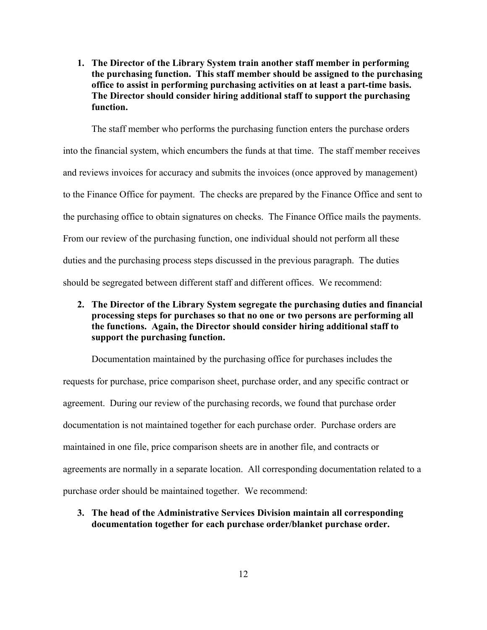**1. The Director of the Library System train another staff member in performing the purchasing function. This staff member should be assigned to the purchasing office to assist in performing purchasing activities on at least a part-time basis. The Director should consider hiring additional staff to support the purchasing function.** 

 The staff member who performs the purchasing function enters the purchase orders into the financial system, which encumbers the funds at that time. The staff member receives and reviews invoices for accuracy and submits the invoices (once approved by management) to the Finance Office for payment. The checks are prepared by the Finance Office and sent to the purchasing office to obtain signatures on checks. The Finance Office mails the payments. From our review of the purchasing function, one individual should not perform all these duties and the purchasing process steps discussed in the previous paragraph. The duties should be segregated between different staff and different offices. We recommend:

**2. The Director of the Library System segregate the purchasing duties and financial processing steps for purchases so that no one or two persons are performing all the functions. Again, the Director should consider hiring additional staff to support the purchasing function.** 

Documentation maintained by the purchasing office for purchases includes the requests for purchase, price comparison sheet, purchase order, and any specific contract or agreement. During our review of the purchasing records, we found that purchase order documentation is not maintained together for each purchase order. Purchase orders are maintained in one file, price comparison sheets are in another file, and contracts or agreements are normally in a separate location. All corresponding documentation related to a purchase order should be maintained together. We recommend:

### **3. The head of the Administrative Services Division maintain all corresponding documentation together for each purchase order/blanket purchase order.**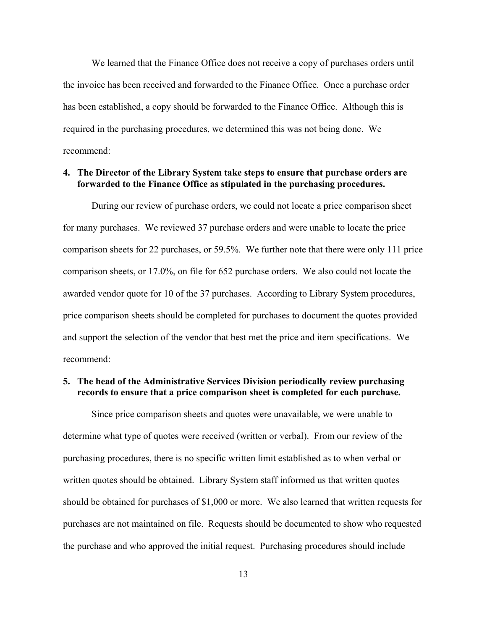We learned that the Finance Office does not receive a copy of purchases orders until the invoice has been received and forwarded to the Finance Office. Once a purchase order has been established, a copy should be forwarded to the Finance Office. Although this is required in the purchasing procedures, we determined this was not being done. We recommend:

#### **4. The Director of the Library System take steps to ensure that purchase orders are forwarded to the Finance Office as stipulated in the purchasing procedures.**

During our review of purchase orders, we could not locate a price comparison sheet for many purchases. We reviewed 37 purchase orders and were unable to locate the price comparison sheets for 22 purchases, or 59.5%. We further note that there were only 111 price comparison sheets, or 17.0%, on file for 652 purchase orders. We also could not locate the awarded vendor quote for 10 of the 37 purchases. According to Library System procedures, price comparison sheets should be completed for purchases to document the quotes provided and support the selection of the vendor that best met the price and item specifications. We recommend:

# **5. The head of the Administrative Services Division periodically review purchasing records to ensure that a price comparison sheet is completed for each purchase.**

Since price comparison sheets and quotes were unavailable, we were unable to determine what type of quotes were received (written or verbal). From our review of the purchasing procedures, there is no specific written limit established as to when verbal or written quotes should be obtained. Library System staff informed us that written quotes should be obtained for purchases of \$1,000 or more. We also learned that written requests for purchases are not maintained on file. Requests should be documented to show who requested the purchase and who approved the initial request. Purchasing procedures should include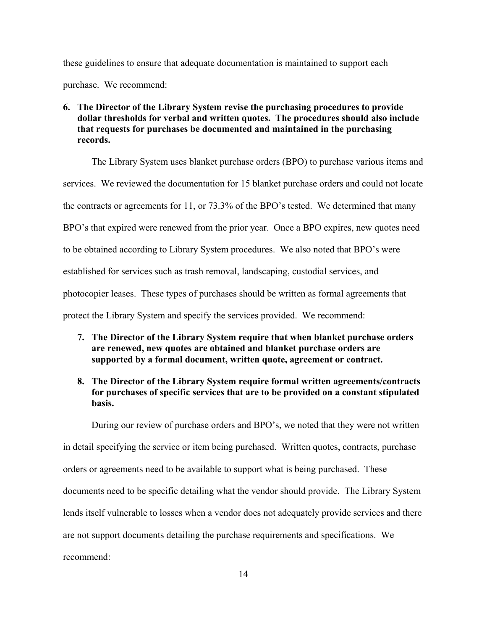these guidelines to ensure that adequate documentation is maintained to support each purchase. We recommend:

# **6. The Director of the Library System revise the purchasing procedures to provide dollar thresholds for verbal and written quotes. The procedures should also include that requests for purchases be documented and maintained in the purchasing records.**

 The Library System uses blanket purchase orders (BPO) to purchase various items and services. We reviewed the documentation for 15 blanket purchase orders and could not locate the contracts or agreements for 11, or 73.3% of the BPO's tested. We determined that many BPO's that expired were renewed from the prior year. Once a BPO expires, new quotes need to be obtained according to Library System procedures. We also noted that BPO's were established for services such as trash removal, landscaping, custodial services, and photocopier leases. These types of purchases should be written as formal agreements that protect the Library System and specify the services provided. We recommend:

- **7. The Director of the Library System require that when blanket purchase orders are renewed, new quotes are obtained and blanket purchase orders are supported by a formal document, written quote, agreement or contract.**
- **8. The Director of the Library System require formal written agreements/contracts for purchases of specific services that are to be provided on a constant stipulated basis.**

 During our review of purchase orders and BPO's, we noted that they were not written in detail specifying the service or item being purchased. Written quotes, contracts, purchase orders or agreements need to be available to support what is being purchased. These documents need to be specific detailing what the vendor should provide. The Library System lends itself vulnerable to losses when a vendor does not adequately provide services and there are not support documents detailing the purchase requirements and specifications. We recommend: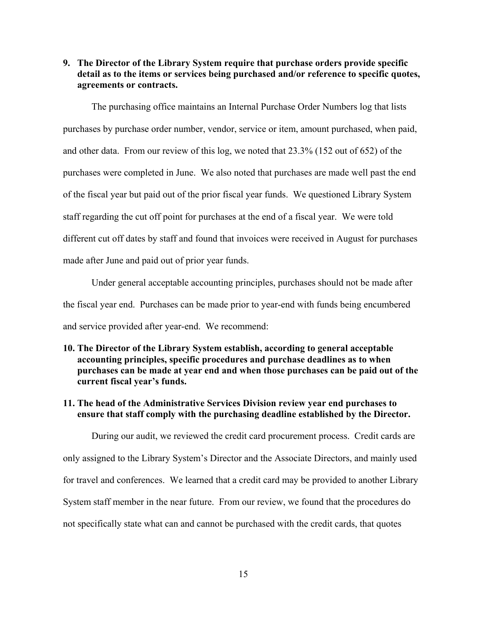**9. The Director of the Library System require that purchase orders provide specific detail as to the items or services being purchased and/or reference to specific quotes, agreements or contracts.** 

 The purchasing office maintains an Internal Purchase Order Numbers log that lists purchases by purchase order number, vendor, service or item, amount purchased, when paid, and other data. From our review of this log, we noted that 23.3% (152 out of 652) of the purchases were completed in June. We also noted that purchases are made well past the end of the fiscal year but paid out of the prior fiscal year funds. We questioned Library System staff regarding the cut off point for purchases at the end of a fiscal year. We were told different cut off dates by staff and found that invoices were received in August for purchases made after June and paid out of prior year funds.

Under general acceptable accounting principles, purchases should not be made after the fiscal year end. Purchases can be made prior to year-end with funds being encumbered and service provided after year-end. We recommend:

# **10. The Director of the Library System establish, according to general acceptable accounting principles, specific procedures and purchase deadlines as to when purchases can be made at year end and when those purchases can be paid out of the current fiscal year's funds.**

### **11. The head of the Administrative Services Division review year end purchases to ensure that staff comply with the purchasing deadline established by the Director.**

 During our audit, we reviewed the credit card procurement process. Credit cards are only assigned to the Library System's Director and the Associate Directors, and mainly used for travel and conferences. We learned that a credit card may be provided to another Library System staff member in the near future. From our review, we found that the procedures do not specifically state what can and cannot be purchased with the credit cards, that quotes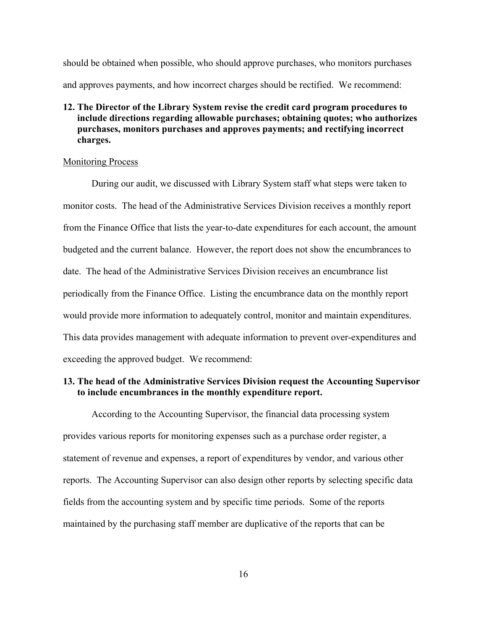should be obtained when possible, who should approve purchases, who monitors purchases and approves payments, and how incorrect charges should be rectified. We recommend:

# **12. The Director of the Library System revise the credit card program procedures to include directions regarding allowable purchases; obtaining quotes; who authorizes purchases, monitors purchases and approves payments; and rectifying incorrect charges.**

#### Monitoring Process

During our audit, we discussed with Library System staff what steps were taken to monitor costs. The head of the Administrative Services Division receives a monthly report from the Finance Office that lists the year-to-date expenditures for each account, the amount budgeted and the current balance. However, the report does not show the encumbrances to date. The head of the Administrative Services Division receives an encumbrance list periodically from the Finance Office. Listing the encumbrance data on the monthly report would provide more information to adequately control, monitor and maintain expenditures. This data provides management with adequate information to prevent over-expenditures and exceeding the approved budget. We recommend:

# **13. The head of the Administrative Services Division request the Accounting Supervisor to include encumbrances in the monthly expenditure report.**

 According to the Accounting Supervisor, the financial data processing system provides various reports for monitoring expenses such as a purchase order register, a statement of revenue and expenses, a report of expenditures by vendor, and various other reports. The Accounting Supervisor can also design other reports by selecting specific data fields from the accounting system and by specific time periods. Some of the reports maintained by the purchasing staff member are duplicative of the reports that can be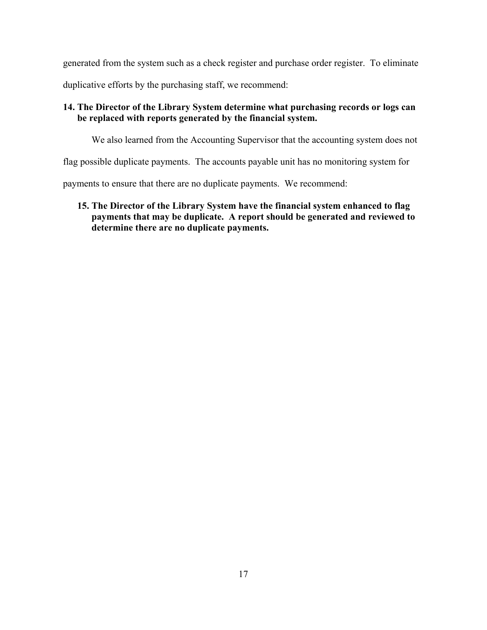generated from the system such as a check register and purchase order register. To eliminate duplicative efforts by the purchasing staff, we recommend:

# **14. The Director of the Library System determine what purchasing records or logs can be replaced with reports generated by the financial system.**

We also learned from the Accounting Supervisor that the accounting system does not

flag possible duplicate payments. The accounts payable unit has no monitoring system for

payments to ensure that there are no duplicate payments. We recommend:

**15. The Director of the Library System have the financial system enhanced to flag payments that may be duplicate. A report should be generated and reviewed to determine there are no duplicate payments.**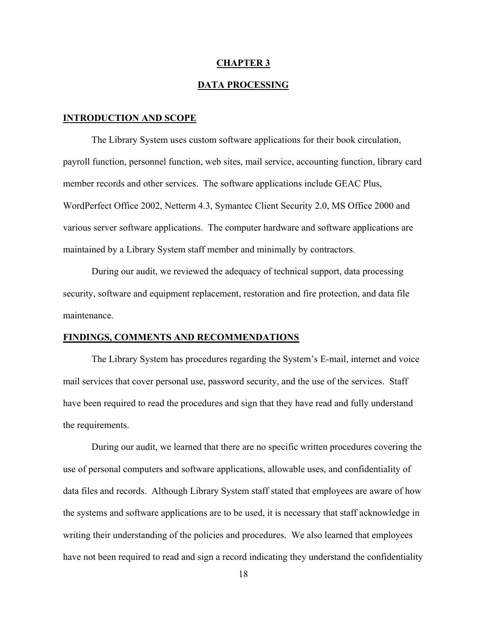#### **CHAPTER 3**

#### **DATA PROCESSING**

#### **INTRODUCTION AND SCOPE**

 The Library System uses custom software applications for their book circulation, payroll function, personnel function, web sites, mail service, accounting function, library card member records and other services. The software applications include GEAC Plus, WordPerfect Office 2002, Netterm 4.3, Symantec Client Security 2.0, MS Office 2000 and various server software applications. The computer hardware and software applications are maintained by a Library System staff member and minimally by contractors.

 During our audit, we reviewed the adequacy of technical support, data processing security, software and equipment replacement, restoration and fire protection, and data file maintenance.

### **FINDINGS, COMMENTS AND RECOMMENDATIONS**

 The Library System has procedures regarding the System's E-mail, internet and voice mail services that cover personal use, password security, and the use of the services. Staff have been required to read the procedures and sign that they have read and fully understand the requirements.

 During our audit, we learned that there are no specific written procedures covering the use of personal computers and software applications, allowable uses, and confidentiality of data files and records. Although Library System staff stated that employees are aware of how the systems and software applications are to be used, it is necessary that staff acknowledge in writing their understanding of the policies and procedures. We also learned that employees have not been required to read and sign a record indicating they understand the confidentiality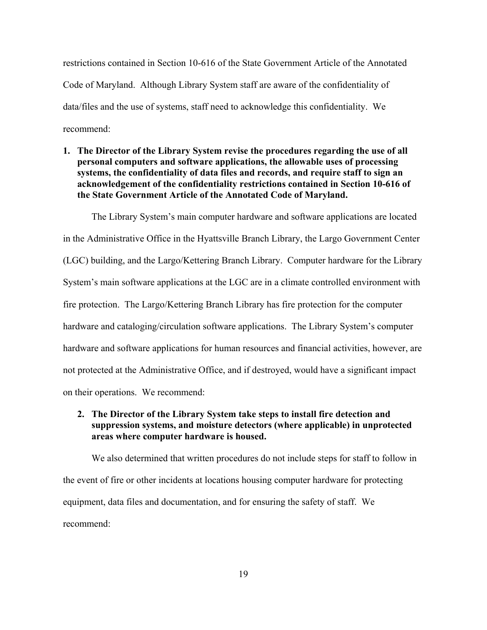restrictions contained in Section 10-616 of the State Government Article of the Annotated Code of Maryland. Although Library System staff are aware of the confidentiality of data/files and the use of systems, staff need to acknowledge this confidentiality. We recommend:

**1. The Director of the Library System revise the procedures regarding the use of all personal computers and software applications, the allowable uses of processing systems, the confidentiality of data files and records, and require staff to sign an acknowledgement of the confidentiality restrictions contained in Section 10-616 of the State Government Article of the Annotated Code of Maryland.** 

 The Library System's main computer hardware and software applications are located in the Administrative Office in the Hyattsville Branch Library, the Largo Government Center (LGC) building, and the Largo/Kettering Branch Library. Computer hardware for the Library System's main software applications at the LGC are in a climate controlled environment with fire protection. The Largo/Kettering Branch Library has fire protection for the computer hardware and cataloging/circulation software applications. The Library System's computer hardware and software applications for human resources and financial activities, however, are not protected at the Administrative Office, and if destroyed, would have a significant impact on their operations. We recommend:

# **2. The Director of the Library System take steps to install fire detection and suppression systems, and moisture detectors (where applicable) in unprotected areas where computer hardware is housed.**

We also determined that written procedures do not include steps for staff to follow in the event of fire or other incidents at locations housing computer hardware for protecting equipment, data files and documentation, and for ensuring the safety of staff. We recommend: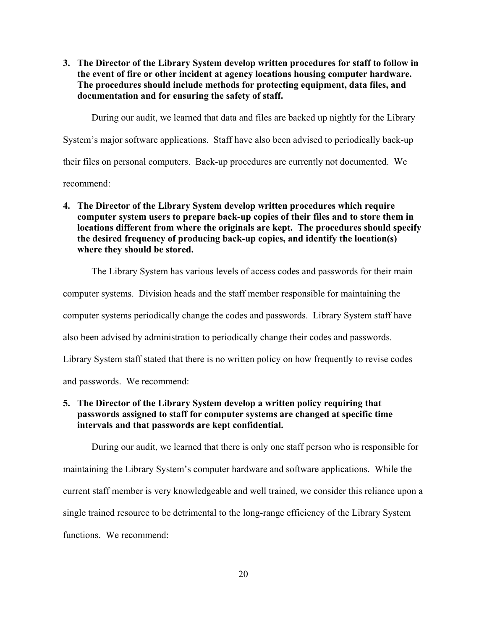**3. The Director of the Library System develop written procedures for staff to follow in the event of fire or other incident at agency locations housing computer hardware. The procedures should include methods for protecting equipment, data files, and documentation and for ensuring the safety of staff.** 

During our audit, we learned that data and files are backed up nightly for the Library

System's major software applications. Staff have also been advised to periodically back-up

their files on personal computers. Back-up procedures are currently not documented. We

recommend:

**4. The Director of the Library System develop written procedures which require computer system users to prepare back-up copies of their files and to store them in locations different from where the originals are kept. The procedures should specify the desired frequency of producing back-up copies, and identify the location(s) where they should be stored.** 

The Library System has various levels of access codes and passwords for their main computer systems. Division heads and the staff member responsible for maintaining the computer systems periodically change the codes and passwords. Library System staff have also been advised by administration to periodically change their codes and passwords. Library System staff stated that there is no written policy on how frequently to revise codes and passwords. We recommend:

# **5. The Director of the Library System develop a written policy requiring that passwords assigned to staff for computer systems are changed at specific time intervals and that passwords are kept confidential.**

 During our audit, we learned that there is only one staff person who is responsible for maintaining the Library System's computer hardware and software applications. While the current staff member is very knowledgeable and well trained, we consider this reliance upon a single trained resource to be detrimental to the long-range efficiency of the Library System functions. We recommend: